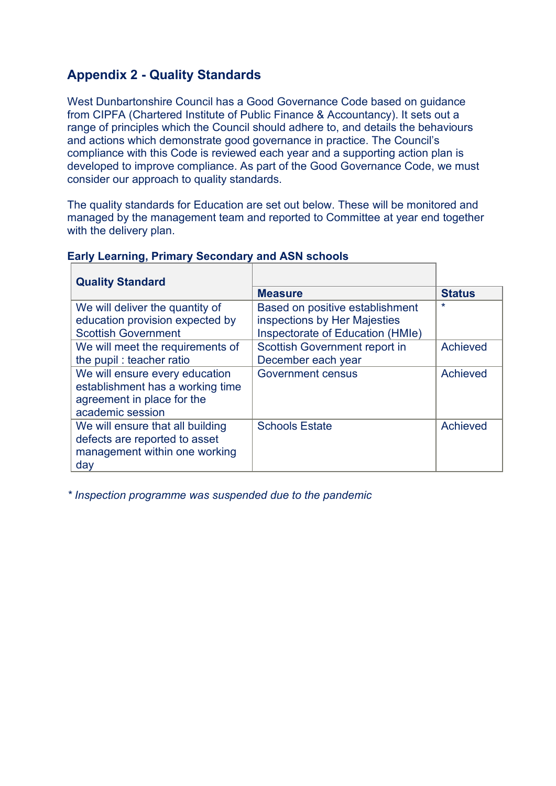### **Appendix 2 - Quality Standards**

West Dunbartonshire Council has a Good Governance Code based on guidance from CIPFA (Chartered Institute of Public Finance & Accountancy). It sets out a range of principles which the Council should adhere to, and details the behaviours and actions which demonstrate good governance in practice. The Council's compliance with this Code is reviewed each year and a supporting action plan is developed to improve compliance. As part of the Good Governance Code, we must consider our approach to quality standards.

The quality standards for Education are set out below. These will be monitored and managed by the management team and reported to Committee at year end together with the delivery plan.

| <b>Quality Standard</b>                                            |                                  |               |
|--------------------------------------------------------------------|----------------------------------|---------------|
|                                                                    | <b>Measure</b>                   | <b>Status</b> |
| We will deliver the quantity of                                    | Based on positive establishment  | $\star$       |
| education provision expected by                                    | inspections by Her Majesties     |               |
| <b>Scottish Government</b>                                         | Inspectorate of Education (HMIe) |               |
| We will meet the requirements of                                   | Scottish Government report in    | Achieved      |
| the pupil: teacher ratio                                           | December each year               |               |
| We will ensure every education<br>establishment has a working time | <b>Government census</b>         | Achieved      |
| agreement in place for the                                         |                                  |               |
| academic session                                                   |                                  |               |
| We will ensure that all building                                   | <b>Schools Estate</b>            | Achieved      |
| defects are reported to asset                                      |                                  |               |
| management within one working                                      |                                  |               |
| day                                                                |                                  |               |

#### **Early Learning, Primary Secondary and ASN schools**

*\* Inspection programme was suspended due to the pandemic*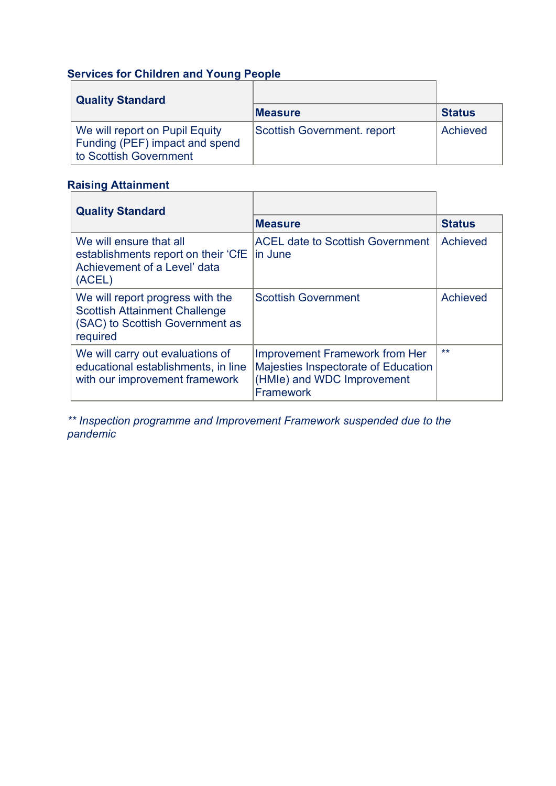# **Services for Children and Young People**

| <b>Quality Standard</b>                                                                    |                                    |               |
|--------------------------------------------------------------------------------------------|------------------------------------|---------------|
|                                                                                            | <b>Measure</b>                     | <b>Status</b> |
| We will report on Pupil Equity<br>Funding (PEF) impact and spend<br>to Scottish Government | <b>Scottish Government. report</b> | Achieved      |

#### **Raising Attainment**

| <b>Quality Standard</b>                                                                                                 |                                                                                                                  |               |
|-------------------------------------------------------------------------------------------------------------------------|------------------------------------------------------------------------------------------------------------------|---------------|
|                                                                                                                         | <b>Measure</b>                                                                                                   | <b>Status</b> |
| We will ensure that all<br>establishments report on their 'CfE<br>Achievement of a Level' data<br>(ACEL)                | <b>ACEL date to Scottish Government</b><br>lin June                                                              | Achieved      |
| We will report progress with the<br><b>Scottish Attainment Challenge</b><br>(SAC) to Scottish Government as<br>required | <b>Scottish Government</b>                                                                                       | Achieved      |
| We will carry out evaluations of<br>educational establishments, in line<br>with our improvement framework               | Improvement Framework from Her<br>Majesties Inspectorate of Education<br>(HMIe) and WDC Improvement<br>Framework | $***$         |

*\*\* Inspection programme and Improvement Framework suspended due to the pandemic*